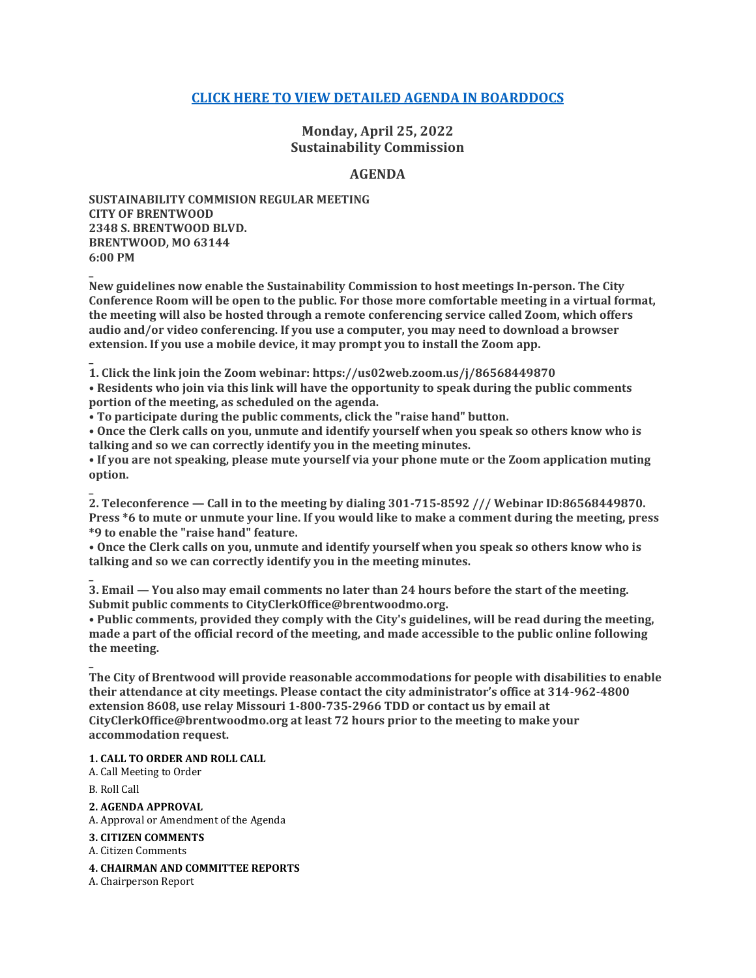# **[CLICK HERE TO VIEW DETAILED AGENDA IN BOARDDOCS](http://go.boarddocs.com/mo/cob/Board.nsf/goto?open&id=CBXA2M7B6007)**

**Monday, April 25, 2022 Sustainability Commission**

### **AGENDA**

**SUSTAINABILITY COMMISION REGULAR MEETING CITY OF BRENTWOOD 2348 S. BRENTWOOD BLVD. BRENTWOOD, MO 63144 6:00 PM**

**New guidelines now enable the Sustainability Commission to host meetings In-person. The City Conference Room will be open to the public. For those more comfortable meeting in a virtual format, the meeting will also be hosted through a remote conferencing service called Zoom, which offers audio and/or video conferencing. If you use a computer, you may need to download a browser extension. If you use a mobile device, it may prompt you to install the Zoom app.**

**\_ 1. Click the link join the Zoom webinar: https://us02web.zoom.us/j/86568449870**

**• Residents who join via this link will have the opportunity to speak during the public comments portion of the meeting, as scheduled on the agenda.**

**• To participate during the public comments, click the "raise hand" button.**

**• Once the Clerk calls on you, unmute and identify yourself when you speak so others know who is talking and so we can correctly identify you in the meeting minutes.**

**• If you are not speaking, please mute yourself via your phone mute or the Zoom application muting option.**

**2. Teleconference — Call in to the meeting by dialing 301-715-8592 /// Webinar ID:86568449870. Press \*6 to mute or unmute your line. If you would like to make a comment during the meeting, press \*9 to enable the "raise hand" feature.**

**• Once the Clerk calls on you, unmute and identify yourself when you speak so others know who is talking and so we can correctly identify you in the meeting minutes.**

**3. Email — You also may email comments no later than 24 hours before the start of the meeting. Submit public comments to CityClerkOffice@brentwoodmo.org.**

**• Public comments, provided they comply with the City's guidelines, will be read during the meeting, made a part of the official record of the meeting, and made accessible to the public online following the meeting.**

**\_ The City of Brentwood will provide reasonable accommodations for people with disabilities to enable their attendance at city meetings. Please contact the city administrator's office at 314-962-4800 extension 8608, use relay Missouri 1-800-735-2966 TDD or contact us by email at CityClerkOffice@brentwoodmo.org at least 72 hours prior to the meeting to make your accommodation request.**

**1. CALL TO ORDER AND ROLL CALL**

A. Call Meeting to Order

B. Roll Call

**\_**

**\_**

**\_**

**2. AGENDA APPROVAL**

A. Approval or Amendment of the Agenda

**3. CITIZEN COMMENTS**

A. Citizen Comments

**4. CHAIRMAN AND COMMITTEE REPORTS**

A. Chairperson Report